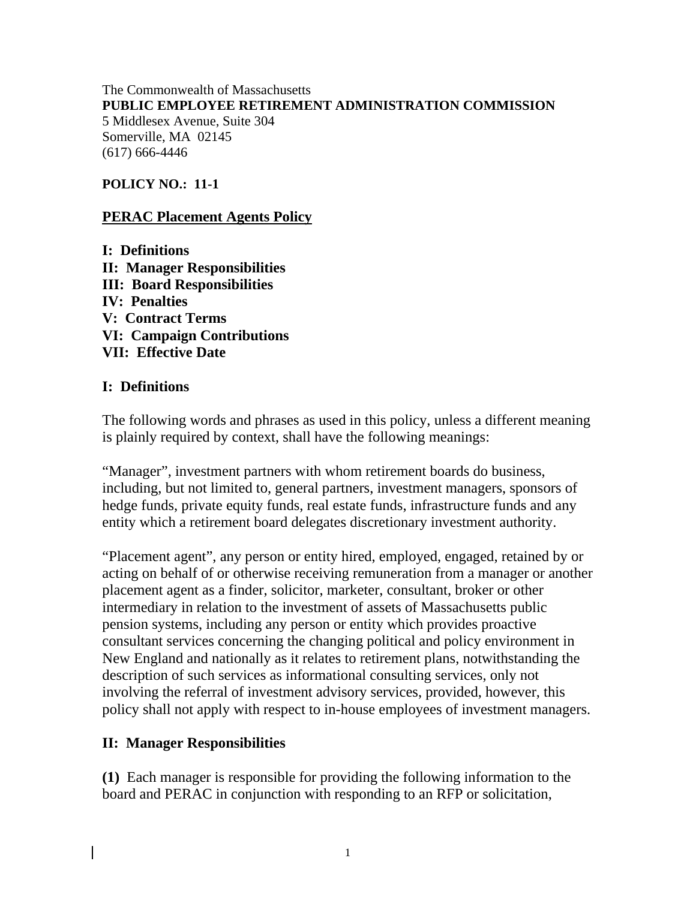#### The Commonwealth of Massachusetts **PUBLIC EMPLOYEE RETIREMENT ADMINISTRATION COMMISSION** 5 Middlesex Avenue, Suite 304 Somerville, MA 02145 (617) 666-4446

### **POLICY NO.: 11-1**

### **PERAC Placement Agents Policy**

**I: Definitions II: Manager Responsibilities III: Board Responsibilities IV: Penalties V: Contract Terms VI: Campaign Contributions VII: Effective Date** 

### **I: Definitions**

The following words and phrases as used in this policy, unless a different meaning is plainly required by context, shall have the following meanings:

"Manager", investment partners with whom retirement boards do business, including, but not limited to, general partners, investment managers, sponsors of hedge funds, private equity funds, real estate funds, infrastructure funds and any entity which a retirement board delegates discretionary investment authority.

"Placement agent", any person or entity hired, employed, engaged, retained by or acting on behalf of or otherwise receiving remuneration from a manager or another placement agent as a finder, solicitor, marketer, consultant, broker or other intermediary in relation to the investment of assets of Massachusetts public pension systems, including any person or entity which provides proactive consultant services concerning the changing political and policy environment in New England and nationally as it relates to retirement plans, notwithstanding the description of such services as informational consulting services, only not involving the referral of investment advisory services, provided, however, this policy shall not apply with respect to in-house employees of investment managers.

### **II: Manager Responsibilities**

**(1)** Each manager is responsible for providing the following information to the board and PERAC in conjunction with responding to an RFP or solicitation,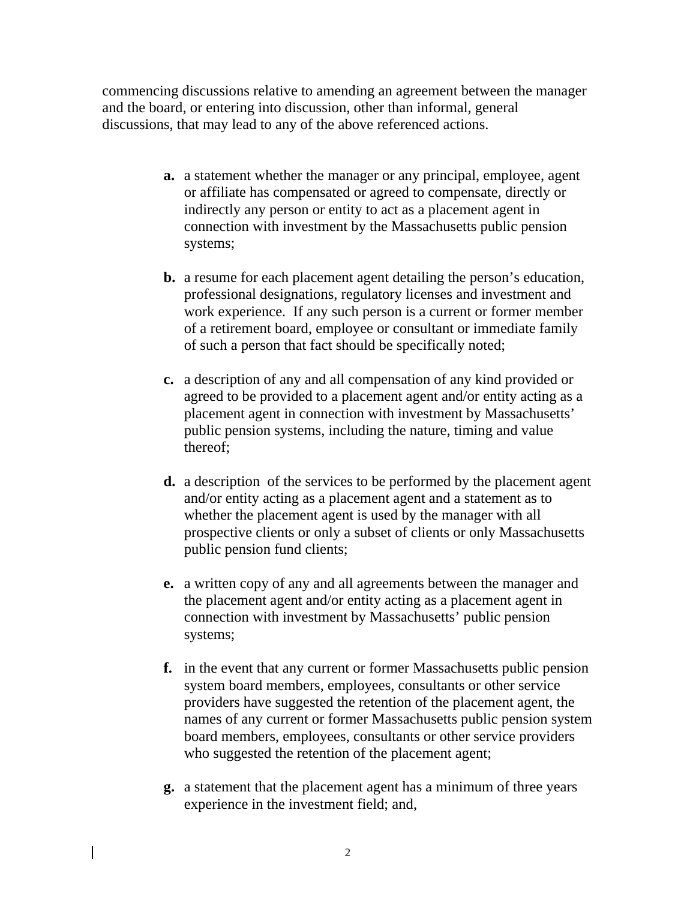commencing discussions relative to amending an agreement between the manager and the board, or entering into discussion, other than informal, general discussions, that may lead to any of the above referenced actions.

- **a.** a statement whether the manager or any principal, employee, agent or affiliate has compensated or agreed to compensate, directly or indirectly any person or entity to act as a placement agent in connection with investment by the Massachusetts public pension systems;
- **b.** a resume for each placement agent detailing the person's education, professional designations, regulatory licenses and investment and work experience. If any such person is a current or former member of a retirement board, employee or consultant or immediate family of such a person that fact should be specifically noted;
- **c.** a description of any and all compensation of any kind provided or agreed to be provided to a placement agent and/or entity acting as a placement agent in connection with investment by Massachusetts' public pension systems, including the nature, timing and value thereof;
- **d.** a description of the services to be performed by the placement agent and/or entity acting as a placement agent and a statement as to whether the placement agent is used by the manager with all prospective clients or only a subset of clients or only Massachusetts public pension fund clients;
- **e.** a written copy of any and all agreements between the manager and the placement agent and/or entity acting as a placement agent in connection with investment by Massachusetts' public pension systems;
- **f.** in the event that any current or former Massachusetts public pension system board members, employees, consultants or other service providers have suggested the retention of the placement agent, the names of any current or former Massachusetts public pension system board members, employees, consultants or other service providers who suggested the retention of the placement agent;
- **g.** a statement that the placement agent has a minimum of three years experience in the investment field; and,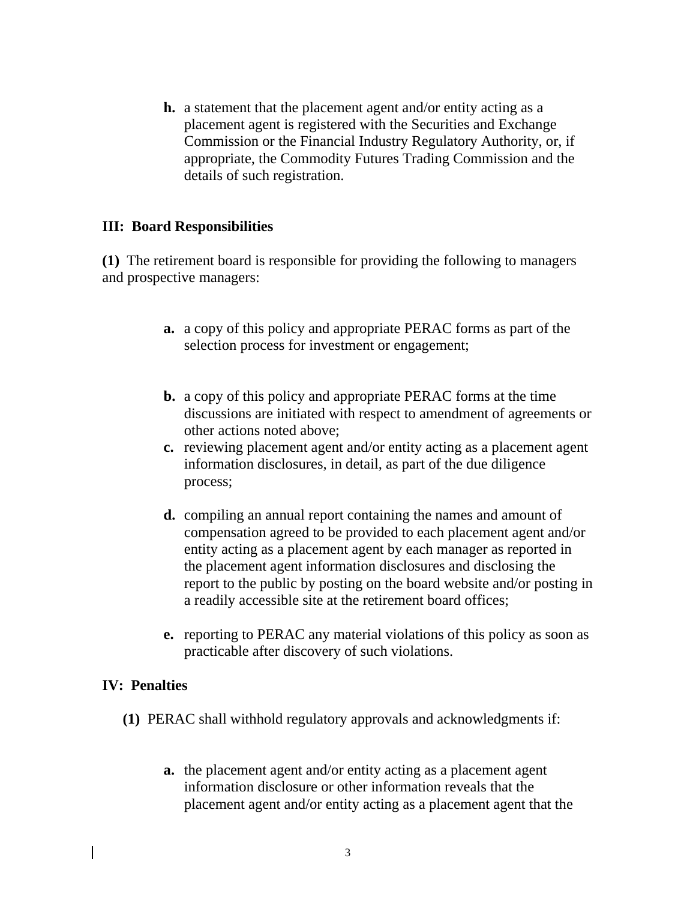**h.** a statement that the placement agent and/or entity acting as a placement agent is registered with the Securities and Exchange Commission or the Financial Industry Regulatory Authority, or, if appropriate, the Commodity Futures Trading Commission and the details of such registration.

# **III: Board Responsibilities**

**(1)** The retirement board is responsible for providing the following to managers and prospective managers:

- **a.** a copy of this policy and appropriate PERAC forms as part of the selection process for investment or engagement;
- **b.** a copy of this policy and appropriate PERAC forms at the time discussions are initiated with respect to amendment of agreements or other actions noted above;
- **c.** reviewing placement agent and/or entity acting as a placement agent information disclosures, in detail, as part of the due diligence process;
- **d.** compiling an annual report containing the names and amount of compensation agreed to be provided to each placement agent and/or entity acting as a placement agent by each manager as reported in the placement agent information disclosures and disclosing the report to the public by posting on the board website and/or posting in a readily accessible site at the retirement board offices;
- **e.** reporting to PERAC any material violations of this policy as soon as practicable after discovery of such violations.

### **IV: Penalties**

- **(1)** PERAC shall withhold regulatory approvals and acknowledgments if:
	- **a.** the placement agent and/or entity acting as a placement agent information disclosure or other information reveals that the placement agent and/or entity acting as a placement agent that the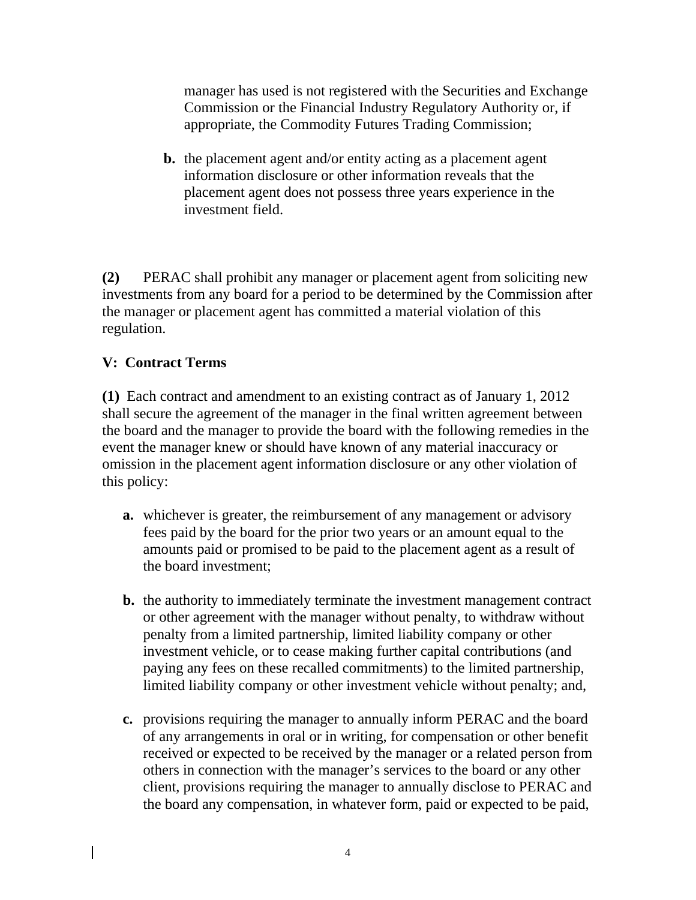manager has used is not registered with the Securities and Exchange Commission or the Financial Industry Regulatory Authority or, if appropriate, the Commodity Futures Trading Commission;

**b.** the placement agent and/or entity acting as a placement agent information disclosure or other information reveals that the placement agent does not possess three years experience in the investment field.

**(2)** PERAC shall prohibit any manager or placement agent from soliciting new investments from any board for a period to be determined by the Commission after the manager or placement agent has committed a material violation of this regulation.

# **V: Contract Terms**

**(1)** Each contract and amendment to an existing contract as of January 1, 2012 shall secure the agreement of the manager in the final written agreement between the board and the manager to provide the board with the following remedies in the event the manager knew or should have known of any material inaccuracy or omission in the placement agent information disclosure or any other violation of this policy:

- **a.** whichever is greater, the reimbursement of any management or advisory fees paid by the board for the prior two years or an amount equal to the amounts paid or promised to be paid to the placement agent as a result of the board investment;
- **b.** the authority to immediately terminate the investment management contract or other agreement with the manager without penalty, to withdraw without penalty from a limited partnership, limited liability company or other investment vehicle, or to cease making further capital contributions (and paying any fees on these recalled commitments) to the limited partnership, limited liability company or other investment vehicle without penalty; and,
- **c.** provisions requiring the manager to annually inform PERAC and the board of any arrangements in oral or in writing, for compensation or other benefit received or expected to be received by the manager or a related person from others in connection with the manager's services to the board or any other client, provisions requiring the manager to annually disclose to PERAC and the board any compensation, in whatever form, paid or expected to be paid,